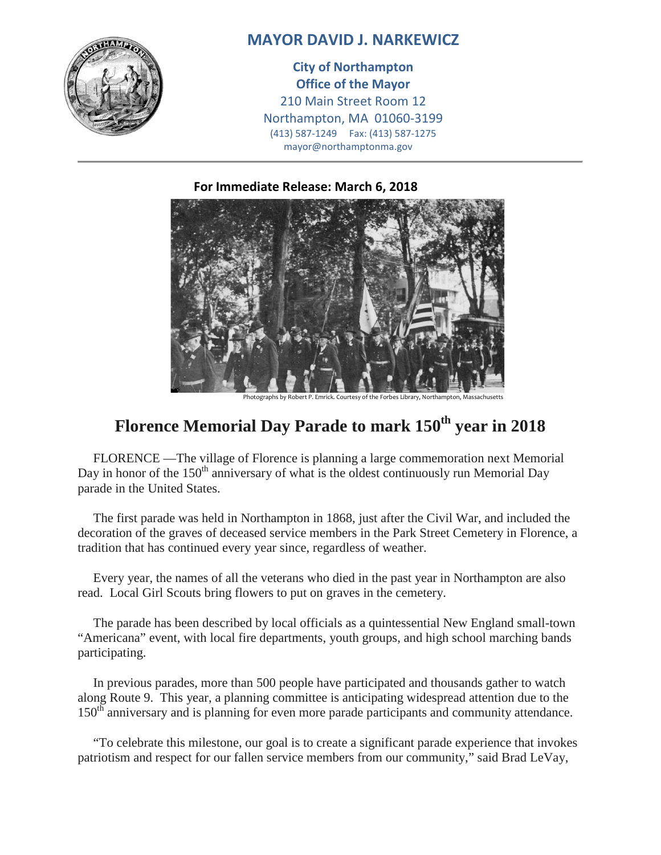

## **MAYOR DAVID J. NARKEWICZ**

**City of Northampton Office of the Mayor** 210 Main Street Room 12 Northampton, MA 01060-3199 (413) 587-1249 Fax: (413) 587-1275 mayor@northamptonma.gov

## **For Immediate Release: March 6, 2018**



Photographs by Robert P. Emrick. Courtesy of the Forbes Library, North

## **Florence Memorial Day Parade to mark 150th year in 2018**

FLORENCE —The village of Florence is planning a large commemoration next Memorial Day in honor of the  $150<sup>th</sup>$  anniversary of what is the oldest continuously run Memorial Day parade in the United States.

The first parade was held in Northampton in 1868, just after the Civil War, and included the decoration of the graves of deceased service members in the Park Street Cemetery in Florence, a tradition that has continued every year since, regardless of weather.

Every year, the names of all the veterans who died in the past year in Northampton are also read. Local Girl Scouts bring flowers to put on graves in the cemetery.

The parade has been described by local officials as a quintessential New England small-town "Americana" event, with local fire departments, youth groups, and high school marching bands participating.

In previous parades, more than 500 people have participated and thousands gather to watch along Route 9. This year, a planning committee is anticipating widespread attention due to the 150<sup>th</sup> anniversary and is planning for even more parade participants and community attendance.

"To celebrate this milestone, our goal is to create a significant parade experience that invokes patriotism and respect for our fallen service members from our community," said Brad LeVay,